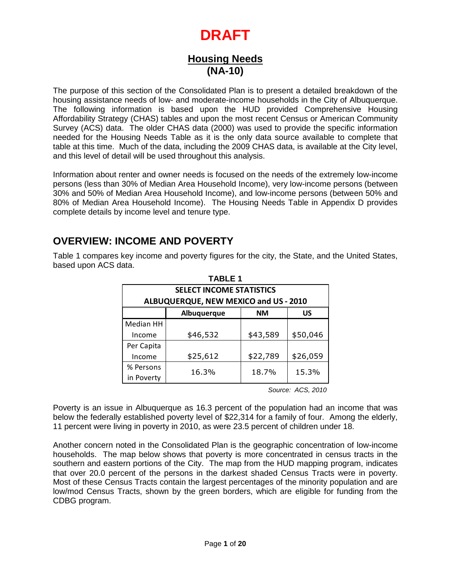## **Housing Needs (NA-10)**

The purpose of this section of the Consolidated Plan is to present a detailed breakdown of the housing assistance needs of low- and moderate-income households in the City of Albuquerque. The following information is based upon the HUD provided Comprehensive Housing Affordability Strategy (CHAS) tables and upon the most recent Census or American Community Survey (ACS) data. The older CHAS data (2000) was used to provide the specific information needed for the Housing Needs Table as it is the only data source available to complete that table at this time. Much of the data, including the 2009 CHAS data, is available at the City level, and this level of detail will be used throughout this analysis.

Information about renter and owner needs is focused on the needs of the extremely low-income persons (less than 30% of Median Area Household Income), very low-income persons (between 30% and 50% of Median Area Household Income), and low-income persons (between 50% and 80% of Median Area Household Income). The Housing Needs Table in Appendix D provides complete details by income level and tenure type.

## **OVERVIEW: INCOME AND POVERTY**

Table 1 compares key income and poverty figures for the city, the State, and the United States, based upon ACS data.

| <b>TABLE 1</b>                                                                                                                                                                                                                                                                                                                                                                                                                   |                                 |           |          |  |  |  |  |  |  |
|----------------------------------------------------------------------------------------------------------------------------------------------------------------------------------------------------------------------------------------------------------------------------------------------------------------------------------------------------------------------------------------------------------------------------------|---------------------------------|-----------|----------|--|--|--|--|--|--|
|                                                                                                                                                                                                                                                                                                                                                                                                                                  | <b>SELECT INCOME STATISTICS</b> |           |          |  |  |  |  |  |  |
| ALBUQUERQUE, NEW MEXICO and US - 2010                                                                                                                                                                                                                                                                                                                                                                                            |                                 |           |          |  |  |  |  |  |  |
|                                                                                                                                                                                                                                                                                                                                                                                                                                  | Albuquerque                     | <b>NM</b> | US       |  |  |  |  |  |  |
| Median HH                                                                                                                                                                                                                                                                                                                                                                                                                        |                                 |           |          |  |  |  |  |  |  |
| Income                                                                                                                                                                                                                                                                                                                                                                                                                           | \$46,532                        | \$43,589  | \$50,046 |  |  |  |  |  |  |
| Per Capita                                                                                                                                                                                                                                                                                                                                                                                                                       |                                 |           |          |  |  |  |  |  |  |
| Income                                                                                                                                                                                                                                                                                                                                                                                                                           | \$25,612                        | \$22,789  | \$26,059 |  |  |  |  |  |  |
| % Persons                                                                                                                                                                                                                                                                                                                                                                                                                        | 16.3%                           | 18.7%     | 15.3%    |  |  |  |  |  |  |
| in Poverty                                                                                                                                                                                                                                                                                                                                                                                                                       |                                 |           |          |  |  |  |  |  |  |
| ing in poverty in 2010, as were 23.5 percent of children un<br>oted in the Consolidated Plan is the geographic concentra<br>map below shows that poverty is more concentrated in c<br>ern portions of the City. The map from the HUD mapping<br>cent of the persons in the darkest shaded Census Tract<br>sus Tracts contain the largest percentages of the minority<br>racts, shown by the green borders, which are eligible fo |                                 |           |          |  |  |  |  |  |  |
|                                                                                                                                                                                                                                                                                                                                                                                                                                  | Page 1 of 20                    |           |          |  |  |  |  |  |  |

Poverty is an issue in Albuquerque as 16.3 percent of the population had an income that was below the federally established poverty level of \$22,314 for a family of four. Among the elderly, 11 percent were living in poverty in 2010, as were 23.5 percent of children under 18.

Another concern noted in the Consolidated Plan is the geographic concentration of low-income households. The map below shows that poverty is more concentrated in census tracts in the southern and eastern portions of the City. The map from the HUD mapping program, indicates that over 20.0 percent of the persons in the darkest shaded Census Tracts were in poverty. Most of these Census Tracts contain the largest percentages of the minority population and are low/mod Census Tracts, shown by the green borders, which are eligible for funding from the CDBG program.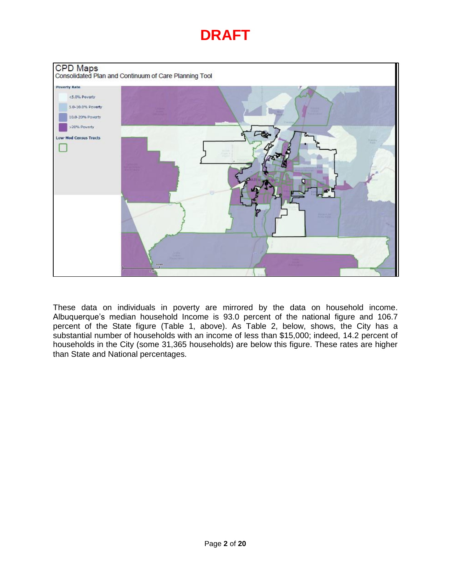

These data on individuals in poverty are mirrored by the data on household income. Albuquerque's median household Income is 93.0 percent of the national figure and 106.7 percent of the State figure (Table 1, above). As Table 2, below, shows, the City has a substantial number of households with an income of less than \$15,000; indeed, 14.2 percent of households in the City (some 31,365 households) are below this figure. These rates are higher than State and National percentages.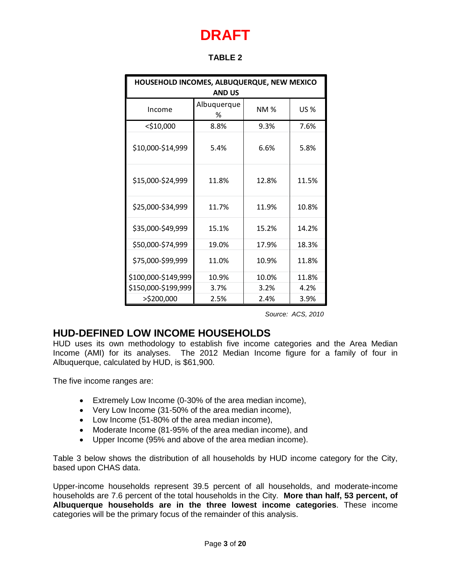| HOUSEHOLD INCOMES, ALBUQUERQUE, NEW MEXICO<br><b>AND US</b> |                  |            |             |  |  |  |  |
|-------------------------------------------------------------|------------------|------------|-------------|--|--|--|--|
| Income                                                      | Albuquerque<br>℅ | <b>NM%</b> | <b>US %</b> |  |  |  |  |
| $<$ \$10,000                                                | 8.8%             | 9.3%       | 7.6%        |  |  |  |  |
| \$10,000-\$14,999                                           | 5.4%             | 6.6%       | 5.8%        |  |  |  |  |
| \$15,000-\$24,999                                           | 11.8%            | 12.8%      | 11.5%       |  |  |  |  |
| \$25,000-\$34,999                                           | 11.7%            | 11.9%      | 10.8%       |  |  |  |  |
| \$35,000-\$49,999                                           | 15.1%            | 15.2%      | 14.2%       |  |  |  |  |
| \$50,000-\$74,999                                           | 19.0%            | 17.9%      | 18.3%       |  |  |  |  |
| \$75,000-\$99,999                                           | 11.0%            | 10.9%      | 11.8%       |  |  |  |  |
| \$100,000-\$149,999                                         | 10.9%            | 10.0%      | 11.8%       |  |  |  |  |
| \$150,000-\$199,999                                         | 3.7%             | 3.2%       | 4.2%        |  |  |  |  |
| >\$200,000                                                  | 2.5%             | 2.4%       | 3.9%        |  |  |  |  |

*Source: ACS, 2010*

## **HUD-DEFINED LOW INCOME HOUSEHOLDS**

HUD uses its own methodology to establish five income categories and the Area Median Income (AMI) for its analyses. The 2012 Median Income figure for a family of four in Albuquerque, calculated by HUD, is \$61,900.

The five income ranges are:

- Extremely Low Income (0-30% of the area median income),
- Very Low Income (31-50% of the area median income),
- Low Income (51-80% of the area median income),
- Moderate Income (81-95% of the area median income), and
- Upper Income (95% and above of the area median income).

Table 3 below shows the distribution of all households by HUD income category for the City, based upon CHAS data.

Upper-income households represent 39.5 percent of all households, and moderate-income households are 7.6 percent of the total households in the City. **More than half, 53 percent, of Albuquerque households are in the three lowest income categories**. These income categories will be the primary focus of the remainder of this analysis.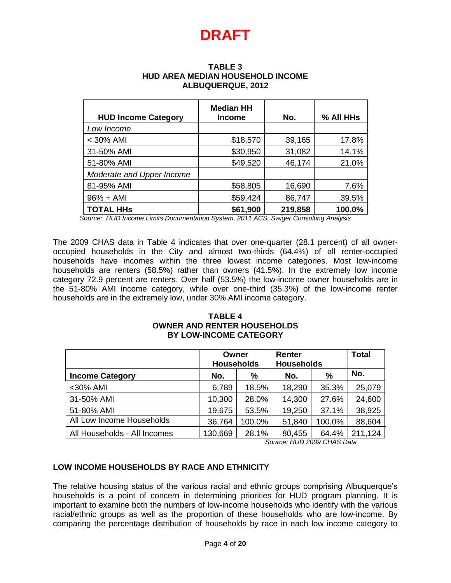#### **TABLE 3 HUD AREA MEDIAN HOUSEHOLD INCOME ALBUQUERQUE, 2012**

| <b>HUD Income Category</b> | <b>Median HH</b><br><b>Income</b> | No.     | % All HHs |
|----------------------------|-----------------------------------|---------|-----------|
| Low Income                 |                                   |         |           |
| $<$ 30% AMI                | \$18,570                          | 39,165  | 17.8%     |
| 31-50% AMI                 | \$30,950                          | 31,082  | 14.1%     |
| 51-80% AMI                 | \$49,520                          | 46,174  | 21.0%     |
| Moderate and Upper Income  |                                   |         |           |
| 81-95% AMI                 | \$58,805                          | 16,690  | 7.6%      |
| $96% + AMI$                | \$59,424                          | 86,747  | 39.5%     |
| <b>TOTAL HHS</b>           | \$61,900                          | 219,858 | 100.0%    |

*Source: HUD Income Limits Documentation System, 2011 ACS, Swiger Consulting Analysis*

The 2009 CHAS data in Table 4 indicates that over one-quarter (28.1 percent) of all owneroccupied households in the City and almost two-thirds (64.4%) of all renter-occupied households have incomes within the three lowest income categories. Most low-income households are renters (58.5%) rather than owners (41.5%). In the extremely low income category 72.9 percent are renters. Over half (53.5%) the low-income owner households are in the 51-80% AMI income category, while over one-third (35.3%) of the low-income renter households are in the extremely low, under 30% AMI income category.

#### **TABLE 4 OWNER AND RENTER HOUSEHOLDS BY LOW-INCOME CATEGORY**

|                              | Owner<br><b>Households</b> |        | Renter<br><b>Households</b> | <b>Total</b> |         |
|------------------------------|----------------------------|--------|-----------------------------|--------------|---------|
| <b>Income Category</b>       | No.<br>%                   |        | %<br>No.                    |              | No.     |
| <30% AMI                     | 6,789                      | 18.5%  | 18,290                      | 35.3%        | 25,079  |
| 31-50% AMI                   | 10,300                     | 28.0%  | 14,300                      | 27.6%        | 24,600  |
| 51-80% AMI                   | 19,675                     | 53.5%  | 19,250                      | 37.1%        | 38,925  |
| All Low Income Households    | 36,764                     | 100.0% | 51,840                      | 100.0%       | 88,604  |
| All Households - All Incomes | 130,669                    | 28.1%  | 80,455                      | 64.4%        | 211,124 |

*Source: HUD 2009 CHAS Data*

### **LOW INCOME HOUSEHOLDS BY RACE AND ETHNICITY**

The relative housing status of the various racial and ethnic groups comprising Albuquerque's households is a point of concern in determining priorities for HUD program planning. It is important to examine both the numbers of low-income households who identify with the various racial/ethnic groups as well as the proportion of these households who are low-income. By comparing the percentage distribution of households by race in each low income category to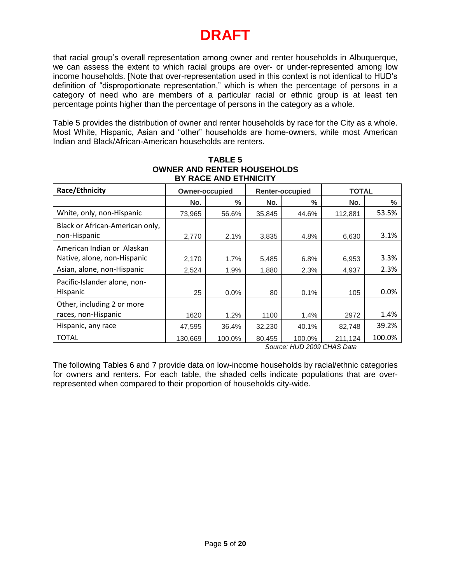that racial group's overall representation among owner and renter households in Albuquerque, we can assess the extent to which racial groups are over- or under-represented among low income households. [Note that over-representation used in this context is not identical to HUD's definition of "disproportionate representation," which is when the percentage of persons in a category of need who are members of a particular racial or ethnic group is at least ten percentage points higher than the percentage of persons in the category as a whole.

Table 5 provides the distribution of owner and renter households by race for the City as a whole. Most White, Hispanic, Asian and "other" households are home-owners, while most American Indian and Black/African-American households are renters.

| Race/Ethnicity                                            |         | <b>Owner-occupied</b> |        | <b>Renter-occupied</b> | <b>TOTAL</b> |        |  |
|-----------------------------------------------------------|---------|-----------------------|--------|------------------------|--------------|--------|--|
|                                                           | No.     | $\%$                  | No.    | $\frac{0}{0}$          | No.          | $\%$   |  |
| White, only, non-Hispanic                                 | 73,965  | 56.6%                 | 35,845 | 44.6%                  | 112,881      | 53.5%  |  |
| Black or African-American only,<br>non-Hispanic           | 2,770   | 2.1%                  | 3,835  | 4.8%                   | 6,630        | 3.1%   |  |
| American Indian or Alaskan<br>Native, alone, non-Hispanic | 2,170   | 1.7%                  | 5,485  | 6.8%                   | 6,953        | 3.3%   |  |
| Asian, alone, non-Hispanic                                | 2,524   | 1.9%                  | 1,880  | 2.3%                   | 4,937        | 2.3%   |  |
| Pacific-Islander alone, non-<br>Hispanic                  | 25      | 0.0%                  | 80     | 0.1%                   | 105          | 0.0%   |  |
| Other, including 2 or more<br>races, non-Hispanic         | 1620    | 1.2%                  | 1100   | 1.4%                   | 2972         | 1.4%   |  |
| Hispanic, any race                                        | 47,595  | 36.4%                 | 32,230 | 40.1%                  | 82,748       | 39.2%  |  |
| TOTAL                                                     | 130,669 | 100.0%                | 80,455 | 100.0%                 | 211,124      | 100.0% |  |

### **TABLE 5 OWNER AND RENTER HOUSEHOLDS BY RACE AND ETHNICITY**

*Source: HUD 2009 CHAS Data*

The following Tables 6 and 7 provide data on low-income households by racial/ethnic categories for owners and renters. For each table, the shaded cells indicate populations that are overrepresented when compared to their proportion of households city-wide.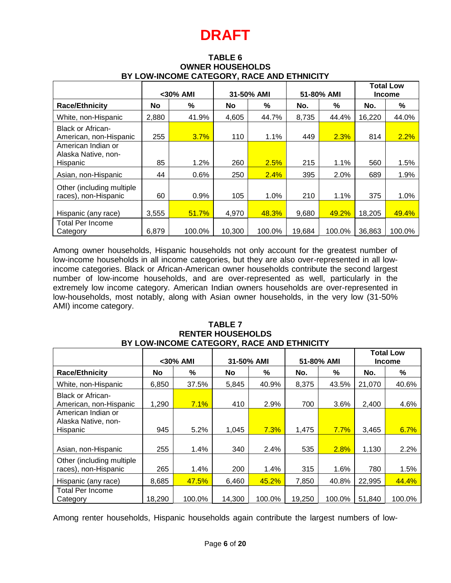| <b>TABLE 6</b>                             |
|--------------------------------------------|
| <b>OWNER HOUSEHOLDS</b>                    |
| BY LOW-INCOME CATEGORY, RACE AND ETHNICITY |

|                                                       | <30% AMI  |        |           | 31-50% AMI |        | 51-80% AMI | <b>Total Low</b><br><b>Income</b> |        |
|-------------------------------------------------------|-----------|--------|-----------|------------|--------|------------|-----------------------------------|--------|
| <b>Race/Ethnicity</b>                                 | <b>No</b> | %      | <b>No</b> | %          | No.    | %          | No.                               | %      |
| White, non-Hispanic                                   | 2,880     | 41.9%  | 4,605     | 44.7%      | 8,735  | 44.4%      | 16,220                            | 44.0%  |
| <b>Black or African-</b><br>American, non-Hispanic    | 255       | 3.7%   | 110       | 1.1%       | 449    | 2.3%       | 814                               | 2.2%   |
| American Indian or<br>Alaska Native, non-<br>Hispanic | 85        | 1.2%   | 260       | 2.5%       | 215    | 1.1%       | 560                               | 1.5%   |
| Asian, non-Hispanic                                   | 44        | 0.6%   | 250       | 2.4%       | 395    | 2.0%       | 689                               | 1.9%   |
| Other (including multiple)<br>races), non-Hispanic    | 60        | 0.9%   | 105       | 1.0%       | 210    | 1.1%       | 375                               | 1.0%   |
| Hispanic (any race)                                   | 3,555     | 51.7%  | 4,970     | 48.3%      | 9,680  | 49.2%      | 18,205                            | 49.4%  |
| <b>Total Per Income</b><br>Category                   | 6,879     | 100.0% | 10,300    | 100.0%     | 19,684 | 100.0%     | 36,863                            | 100.0% |

Among owner households, Hispanic households not only account for the greatest number of low-income households in all income categories, but they are also over-represented in all lowincome categories. Black or African-American owner households contribute the second largest number of low-income households, and are over-represented as well, particularly in the extremely low income category. American Indian owners households are over-represented in low-households, most notably, along with Asian owner households, in the very low (31-50% AMI) income category.

|                                                       |        | $<$ 30% AMI | 31-50% AMI<br>51-80% AMI |        |        | <b>Total Low</b><br><b>Income</b> |        |        |
|-------------------------------------------------------|--------|-------------|--------------------------|--------|--------|-----------------------------------|--------|--------|
| <b>Race/Ethnicity</b>                                 | No     | %           | <b>No</b>                | %      | No.    | ℅                                 | No.    | %      |
| White, non-Hispanic                                   | 6,850  | 37.5%       | 5,845                    | 40.9%  | 8,375  | 43.5%                             | 21,070 | 40.6%  |
| <b>Black or African-</b><br>American, non-Hispanic    | 1,290  | 7.1%        | 410                      | 2.9%   | 700    | 3.6%                              | 2,400  | 4.6%   |
| American Indian or<br>Alaska Native, non-<br>Hispanic | 945    | 5.2%        | 1,045                    | 7.3%   | 1,475  | 7.7%                              | 3,465  | 6.7%   |
| Asian, non-Hispanic                                   | 255    | 1.4%        | 340                      | 2.4%   | 535    | 2.8%                              | 1,130  | 2.2%   |
| Other (including multiple)<br>races), non-Hispanic    | 265    | 1.4%        | 200                      | 1.4%   | 315    | 1.6%                              | 780    | 1.5%   |
| Hispanic (any race)                                   | 8,685  | 47.5%       | 6,460                    | 45.2%  | 7,850  | 40.8%                             | 22,995 | 44.4%  |
| <b>Total Per Income</b><br>Category                   | 18,290 | 100.0%      | 14,300                   | 100.0% | 19,250 | 100.0%                            | 51,840 | 100.0% |

**TABLE 7 RENTER HOUSEHOLDS BY LOW-INCOME CATEGORY, RACE AND ETHNICITY**

Among renter households, Hispanic households again contribute the largest numbers of low-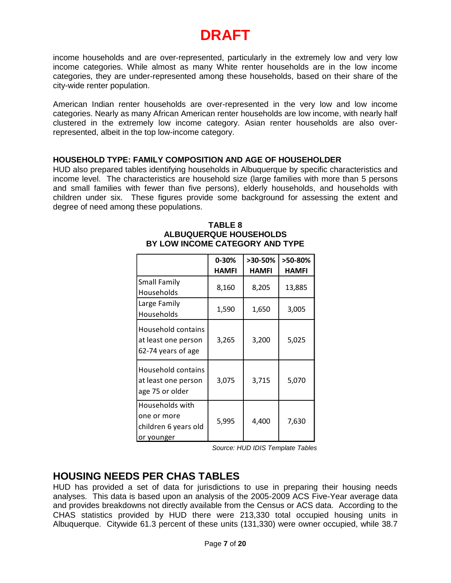income households and are over-represented, particularly in the extremely low and very low income categories. While almost as many White renter households are in the low income categories, they are under-represented among these households, based on their share of the city-wide renter population.

American Indian renter households are over-represented in the very low and low income categories. Nearly as many African American renter households are low income, with nearly half clustered in the extremely low income category. Asian renter households are also overrepresented, albeit in the top low-income category.

#### **HOUSEHOLD TYPE: FAMILY COMPOSITION AND AGE OF HOUSEHOLDER**

HUD also prepared tables identifying households in Albuquerque by specific characteristics and income level. The characteristics are household size (large families with more than 5 persons and small families with fewer than five persons), elderly households, and households with children under six. These figures provide some background for assessing the extent and degree of need among these populations.

|                                                                      | $0 - 30%$    | >30-50%      | >50-80%      |
|----------------------------------------------------------------------|--------------|--------------|--------------|
|                                                                      | <b>HAMFI</b> | <b>HAMFI</b> | <b>HAMFI</b> |
| <b>Small Family</b><br>Households                                    | 8,160        | 8,205        | 13,885       |
| Large Family<br>Households                                           | 1,590        | 1,650        | 3,005        |
| Household contains<br>at least one person<br>62-74 years of age      | 3,265        | 3,200        | 5,025        |
| Household contains<br>at least one person<br>age 75 or older         | 3,075        | 3,715        | 5,070        |
| Households with<br>one or more<br>children 6 years old<br>or younger | 5,995        | 4,400        | 7,630        |

#### **TABLE 8 ALBUQUERQUE HOUSEHOLDS BY LOW INCOME CATEGORY AND TYPE**

*Source: HUD IDIS Template Tables*

## **HOUSING NEEDS PER CHAS TABLES**

HUD has provided a set of data for jurisdictions to use in preparing their housing needs analyses. This data is based upon an analysis of the 2005-2009 ACS Five-Year average data and provides breakdowns not directly available from the Census or ACS data. According to the CHAS statistics provided by HUD there were 213,330 total occupied housing units in Albuquerque. Citywide 61.3 percent of these units (131,330) were owner occupied, while 38.7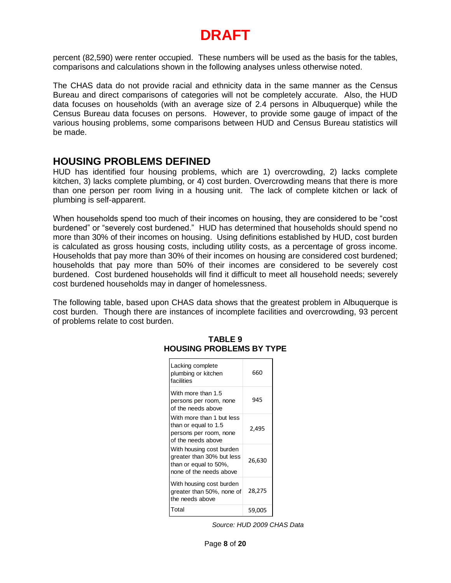percent (82,590) were renter occupied. These numbers will be used as the basis for the tables, comparisons and calculations shown in the following analyses unless otherwise noted.

The CHAS data do not provide racial and ethnicity data in the same manner as the Census Bureau and direct comparisons of categories will not be completely accurate. Also, the HUD data focuses on households (with an average size of 2.4 persons in Albuquerque) while the Census Bureau data focuses on persons. However, to provide some gauge of impact of the various housing problems, some comparisons between HUD and Census Bureau statistics will be made.

### **HOUSING PROBLEMS DEFINED**

HUD has identified four housing problems, which are 1) overcrowding, 2) lacks complete kitchen, 3) lacks complete plumbing, or 4) cost burden. Overcrowding means that there is more than one person per room living in a housing unit. The lack of complete kitchen or lack of plumbing is self-apparent.

When households spend too much of their incomes on housing, they are considered to be "cost burdened" or "severely cost burdened." HUD has determined that households should spend no more than 30% of their incomes on housing. Using definitions established by HUD, cost burden is calculated as gross housing costs, including utility costs, as a percentage of gross income. Households that pay more than 30% of their incomes on housing are considered cost burdened; households that pay more than 50% of their incomes are considered to be severely cost burdened. Cost burdened households will find it difficult to meet all household needs; severely cost burdened households may in danger of homelessness.

The following table, based upon CHAS data shows that the greatest problem in Albuquerque is cost burden. Though there are instances of incomplete facilities and overcrowding, 93 percent of problems relate to cost burden.

| Lacking complete<br>plumbing or kitchen<br>facilities                                                     | 660    |
|-----------------------------------------------------------------------------------------------------------|--------|
| With more than 1.5<br>persons per room, none<br>of the needs above                                        | 945    |
| With more than 1 but less<br>than or equal to 1.5<br>persons per room, none<br>of the needs above         | 2.495  |
| With housing cost burden<br>greater than 30% but less<br>than or equal to 50%,<br>none of the needs above | 26,630 |
| With housing cost burden<br>greater than 50%, none of<br>the needs above                                  | 28,275 |
| Total                                                                                                     | 59,005 |

#### **TABLE 9 HOUSING PROBLEMS BY TYPE**

*Source: HUD 2009 CHAS Data*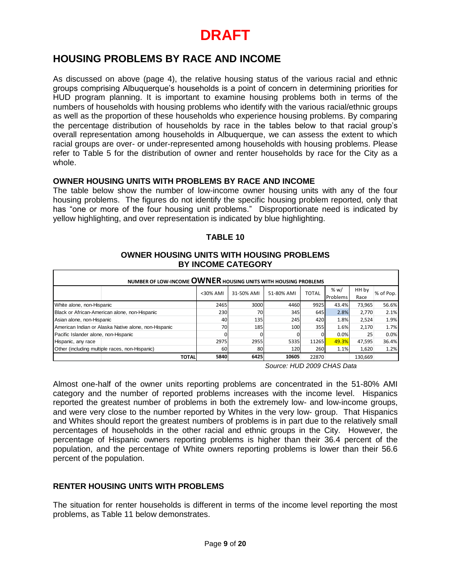## **HOUSING PROBLEMS BY RACE AND INCOME**

As discussed on above (page 4), the relative housing status of the various racial and ethnic groups comprising Albuquerque's households is a point of concern in determining priorities for HUD program planning. It is important to examine housing problems both in terms of the numbers of households with housing problems who identify with the various racial/ethnic groups as well as the proportion of these households who experience housing problems. By comparing the percentage distribution of households by race in the tables below to that racial group's overall representation among households in Albuquerque, we can assess the extent to which racial groups are over- or under-represented among households with housing problems. Please refer to Table 5 for the distribution of owner and renter households by race for the City as a whole.

### **OWNER HOUSING UNITS WITH PROBLEMS BY RACE AND INCOME**

The table below show the number of low-income owner housing units with any of the four housing problems. The figures do not identify the specific housing problem reported, only that has "one or more of the four housing unit problems." Disproportionate need is indicated by yellow highlighting, and over representation is indicated by blue highlighting.

#### **TABLE 10**

#### **OWNER HOUSING UNITS WITH HOUSING PROBLEMS BY INCOME CATEGORY**

| NUMBER OF LOW-INCOME OWNER HOUSING UNITS WITH HOUSING PROBLEMS |              |             |            |            |              |                  |               |           |  |  |
|----------------------------------------------------------------|--------------|-------------|------------|------------|--------------|------------------|---------------|-----------|--|--|
|                                                                |              | $<$ 30% AMI | 31-50% AMI | 51-80% AMI | <b>TOTAL</b> | % w/<br>Problems | HH by<br>Race | % of Pop. |  |  |
| White alone, non-Hispanic                                      |              | 2465        | 3000       | 4460       | 9925         | 43.4%            | 73,965        | 56.6%     |  |  |
| Black or African-American alone, non-Hispanic                  |              | 230         | 70         | 345        | 645          | 2.8%             | 2,770         | 2.1%      |  |  |
| Asian alone, non-Hispanic                                      |              | 40          | 135        | 245        | 420          | 1.8%             | 2,524         | 1.9%      |  |  |
| American Indian or Alaska Native alone, non-Hispanic           |              | 70          | 185        | 100        | 355          | 1.6%             | 2,170         | 1.7%      |  |  |
| Pacific Islander alone, non-Hispanic                           |              |             |            |            |              | 0.0%             | 25            | 0.0%      |  |  |
| Hispanic, any race                                             |              | 2975        | 2955       | 5335       | 11265        | 49.3%            | 47,595        | 36.4%     |  |  |
| Other (including multiple races, non-Hispanic)                 |              | 60          | 80         | 120        | 260          | 1.1%             | 1,620         | 1.2%      |  |  |
|                                                                | <b>TOTAL</b> | 5840        | 6425       | 10605      | 22870        |                  | 130,669       |           |  |  |

*Source: HUD 2009 CHAS Data*

 $-30\%$  AMI 31-50% AMI 51-80% AMI TOTAL  $\frac{\% w}{\%$ <br>  $2465$  3000 4460 9925 a3.4<br>  $230$  70 345 645 2.8<br>  $40$  135<br>  $70$  345 420 1.85<br>  $70$  185 400 60 5<br>  $2975$  29555 5333 11265 **49.3**<br>  $60$  80 80 120 0 0 0 0<br>  $2975$   $2955$  5 Almost one-half of the owner units reporting problems are concentrated in the 51-80% AMI category and the number of reported problems increases with the income level. Hispanics reported the greatest number of problems in both the extremely low- and low-income groups, and were very close to the number reported by Whites in the very low- group. That Hispanics and Whites should report the greatest numbers of problems is in part due to the relatively small percentages of households in the other racial and ethnic groups in the City. However, the percentage of Hispanic owners reporting problems is higher than their 36.4 percent of the population, and the percentage of White owners reporting problems is lower than their 56.6 percent of the population.

### **RENTER HOUSING UNITS WITH PROBLEMS**

The situation for renter households is different in terms of the income level reporting the most problems, as Table 11 below demonstrates.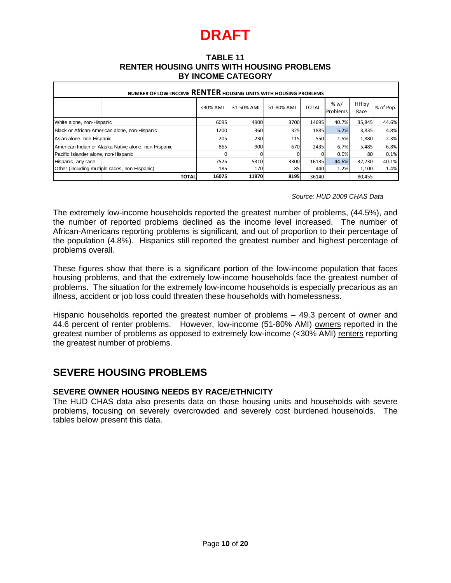#### **TABLE 11 RENTER HOUSING UNITS WITH HOUSING PROBLEMS BY INCOME CATEGORY**

| NUMBER OF LOW-INCOME RENTER HOUSING UNITS WITH HOUSING PROBLEMS                                                                                                                                                                                                                                                                                                                    |               |            |                                                         |              |                            |               |           |  |
|------------------------------------------------------------------------------------------------------------------------------------------------------------------------------------------------------------------------------------------------------------------------------------------------------------------------------------------------------------------------------------|---------------|------------|---------------------------------------------------------|--------------|----------------------------|---------------|-----------|--|
|                                                                                                                                                                                                                                                                                                                                                                                    | <30% AMI      | 31-50% AMI | 51-80% AMI                                              | <b>TOTAL</b> | % w/<br>Problems           | HH by<br>Race | % of Pop. |  |
| White alone, non-Hispanic                                                                                                                                                                                                                                                                                                                                                          | 6095          | 4900       | 3700                                                    | 14695        | 40.7%                      | 35,845        | 44.6%     |  |
| Black or African-American alone, non-Hispanic                                                                                                                                                                                                                                                                                                                                      | 1200          | 360        | 325                                                     | 1885         | 5.2%                       | 3,835         | 4.8%      |  |
| Asian alone, non-Hispanic                                                                                                                                                                                                                                                                                                                                                          | 205           | 230        | 115                                                     | 550          | 1.5%                       | 1,880         | 2.3%      |  |
| American Indian or Alaska Native alone, non-Hispanic                                                                                                                                                                                                                                                                                                                               | 865           | 900        | 670                                                     | 2435         | 6.7%                       | 5,485         | 6.8%      |  |
| Pacific Islander alone, non-Hispanic                                                                                                                                                                                                                                                                                                                                               | 0             | 0          | 0                                                       | 0            | 0.0%                       | 80            | 0.1%      |  |
| Hispanic, any race                                                                                                                                                                                                                                                                                                                                                                 | 7525          | 5310       | 3300                                                    | 16135        | 44.6%                      | 32,230        | 40.1%     |  |
| Other (including multiple races, non-Hispanic)                                                                                                                                                                                                                                                                                                                                     | 185           | 170        | 85                                                      | 440          | 1.2%                       | 1,100         | 1.4%      |  |
| The extremely low-income households reported the greatest number of problems, (44.5%), and                                                                                                                                                                                                                                                                                         |               |            |                                                         |              | Source: HUD 2009 CHAS Data |               |           |  |
| the number of reported problems declined as the income level increased. The number of<br>African-Americans reporting problems is significant, and out of proportion to their percentage of<br>the population (4.8%). Hispanics still reported the greatest number and highest percentage of<br>problems overall.                                                                   |               |            |                                                         |              |                            |               |           |  |
| These figures show that there is a significant portion of the low-income population that faces<br>housing problems, and that the extremely low-income households face the greatest number of<br>problems. The situation for the extremely low-income households is especially precarious as an<br>illness, accident or job loss could threaten these households with homelessness. |               |            |                                                         |              |                            |               |           |  |
| Hispanic households reported the greatest number of problems - 49.3 percent of owner and<br>44.6 percent of renter problems.<br>greatest number of problems as opposed to extremely low-income (<30% AMI) renters reporting<br>the greatest number of problems.                                                                                                                    |               |            | However, low-income (51-80% AMI) owners reported in the |              |                            |               |           |  |
| <b>SEVERE HOUSING PROBLEMS</b>                                                                                                                                                                                                                                                                                                                                                     |               |            |                                                         |              |                            |               |           |  |
| SEVERE OWNER HOUSING NEEDS BY RACE/ETHNICITY<br>The HUD CHAS data also presents data on those housing units and households with severe<br>problems, focusing on severely overcrowded and severely cost burdened households.<br>The<br>tables below present this data.                                                                                                              |               |            |                                                         |              |                            |               |           |  |
|                                                                                                                                                                                                                                                                                                                                                                                    |               |            |                                                         |              |                            |               |           |  |
|                                                                                                                                                                                                                                                                                                                                                                                    |               |            |                                                         |              |                            |               |           |  |
|                                                                                                                                                                                                                                                                                                                                                                                    | Page 10 of 20 |            |                                                         |              |                            |               |           |  |

#### *Source: HUD 2009 CHAS Data*

## **SEVERE HOUSING PROBLEMS**

### **SEVERE OWNER HOUSING NEEDS BY RACE/ETHNICITY**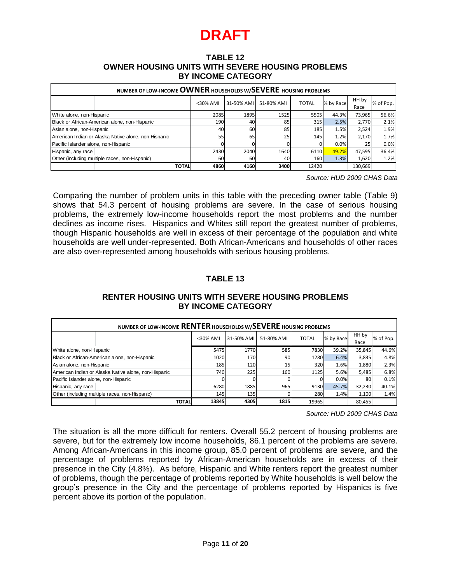#### **TABLE 12 OWNER HOUSING UNITS WITH SEVERE HOUSING PROBLEMS BY INCOME CATEGORY**

| NUMBER OF LOW-INCOME OWNER HOUSEHOLDS W/SEVERE HOUSING PROBLEMS |              |             |            |            |                  |           |               |           |
|-----------------------------------------------------------------|--------------|-------------|------------|------------|------------------|-----------|---------------|-----------|
|                                                                 |              | $<$ 30% AMI | 31-50% AMI | 51-80% AMI | <b>TOTAL</b>     | % by Race | HH by<br>Race | % of Pop. |
| White alone, non-Hispanic                                       |              | 2085        | 1895       | 1525       | 5505             | 44.3%     | 73,965        | 56.6%     |
| Black or African-American alone, non-Hispanic                   |              | 190         | 40         | 85         | 315 <sup>1</sup> | 2.5%      | 2,770         | 2.1%      |
| Asian alone, non-Hispanic                                       |              | 40          | 60         | 85         | 185              | 1.5%      | 2,524         | 1.9%      |
| American Indian or Alaska Native alone, non-Hispanic            |              | 55          | 65         | 25         | 145              | 1.2%      | 2,170         | 1.7%      |
| Pacific Islander alone, non-Hispanic                            |              |             |            |            |                  | 0.0%      | 25            | 0.0%      |
| Hispanic, any race                                              |              | 2430        | 2040       | 1640       | 6110             | 49.2%     | 47,595        | 36.4%     |
| Other (including multiple races, non-Hispanic)                  |              | 60          | 60         | 40         | 160              | 1.3%      | 1,620         | 1.2%      |
|                                                                 | <b>TOTAL</b> | 4860        | 4160       | 3400       | 12420            |           | 130.669       |           |

### **TABLE 13**

### **RENTER HOUSING UNITS WITH SEVERE HOUSING PROBLEMS BY INCOME CATEGORY**

|                                                                                                                                                                                                                                                                                                                                                                                                                                                                                                                                                                                                                                                                                                                                                                          | <30% AMI | 31-50% AMI    | 51-80% AMI | <b>TOTAL</b> | % by Race                  | HH by<br>Race | % of Pop. |  |
|--------------------------------------------------------------------------------------------------------------------------------------------------------------------------------------------------------------------------------------------------------------------------------------------------------------------------------------------------------------------------------------------------------------------------------------------------------------------------------------------------------------------------------------------------------------------------------------------------------------------------------------------------------------------------------------------------------------------------------------------------------------------------|----------|---------------|------------|--------------|----------------------------|---------------|-----------|--|
| White alone, non-Hispanic                                                                                                                                                                                                                                                                                                                                                                                                                                                                                                                                                                                                                                                                                                                                                | 2085     | 1895          | 1525       | 5505         | 44.3%                      | 73,965        | 56.6%     |  |
| Black or African-American alone, non-Hispanic                                                                                                                                                                                                                                                                                                                                                                                                                                                                                                                                                                                                                                                                                                                            | 190      | 40            | 85         | 315          | 2.5%                       | 2,770         | 2.1%      |  |
| Asian alone, non-Hispanic                                                                                                                                                                                                                                                                                                                                                                                                                                                                                                                                                                                                                                                                                                                                                | 40       | 60            | 85         | 185          | 1.5%                       | 2,524         | 1.9%      |  |
| American Indian or Alaska Native alone, non-Hispanic                                                                                                                                                                                                                                                                                                                                                                                                                                                                                                                                                                                                                                                                                                                     | 55       | 65            | 25         | 145          | 1.2%                       | 2,170         | 1.7%      |  |
| Pacific Islander alone, non-Hispanic                                                                                                                                                                                                                                                                                                                                                                                                                                                                                                                                                                                                                                                                                                                                     | 0        | C             | 0          | 0            | 0.0%                       | 25            | 0.0%      |  |
| Hispanic, any race                                                                                                                                                                                                                                                                                                                                                                                                                                                                                                                                                                                                                                                                                                                                                       | 2430     | 2040          | 1640       | 6110         | 49.2%                      | 47,595        | 36.4%     |  |
| Other (including multiple races, non-Hispanic)                                                                                                                                                                                                                                                                                                                                                                                                                                                                                                                                                                                                                                                                                                                           | 60       | 60            | 40         | 160          | 1.3%                       | 1,620         | 1.2%      |  |
| <b>TOTAL</b>                                                                                                                                                                                                                                                                                                                                                                                                                                                                                                                                                                                                                                                                                                                                                             | 4860     | 4160          | 3400       | 12420        |                            | 130,669       |           |  |
|                                                                                                                                                                                                                                                                                                                                                                                                                                                                                                                                                                                                                                                                                                                                                                          |          |               |            |              | Source: HUD 2009 CHAS Data |               |           |  |
| Comparing the number of problem units in this table with the preceding owner table (Table 9)<br>shows that 54.3 percent of housing problems are severe. In the case of serious housing<br>problems, the extremely low-income households report the most problems and the number<br>declines as income rises. Hispanics and Whites still report the greatest number of problems,<br>though Hispanic households are well in excess of their percentage of the population and white<br>households are well under-represented. Both African-Americans and households of other races<br>are also over-represented among households with serious housing problems.<br><b>TABLE 13</b><br><b>RENTER HOUSING UNITS WITH SEVERE HOUSING PROBLEMS</b><br><b>BY INCOME CATEGORY</b> |          |               |            |              |                            |               |           |  |
| NUMBER OF LOW-INCOME RENTER HOUSEHOLDS W/SEVERE HOUSING PROBLEMS                                                                                                                                                                                                                                                                                                                                                                                                                                                                                                                                                                                                                                                                                                         |          |               |            |              |                            |               |           |  |
|                                                                                                                                                                                                                                                                                                                                                                                                                                                                                                                                                                                                                                                                                                                                                                          | <30% AMI | 31-50% AMI    | 51-80% AMI | <b>TOTAL</b> | % by Race                  | HH by<br>Race | % of Pop. |  |
| White alone, non-Hispanic                                                                                                                                                                                                                                                                                                                                                                                                                                                                                                                                                                                                                                                                                                                                                | 5475     | 1770          | 585        | 7830         | 39.2%                      | 35,845        | 44.6%     |  |
| Black or African-American alone, non-Hispanic                                                                                                                                                                                                                                                                                                                                                                                                                                                                                                                                                                                                                                                                                                                            | 1020     | 170           | 90         | 1280         | 6.4%                       | 3,835         | 4.8%      |  |
| Asian alone, non-Hispanic                                                                                                                                                                                                                                                                                                                                                                                                                                                                                                                                                                                                                                                                                                                                                | 185      | 120           | 15         | 320          | 1.6%                       | 1,880         | 2.3%      |  |
|                                                                                                                                                                                                                                                                                                                                                                                                                                                                                                                                                                                                                                                                                                                                                                          | 740      | 225           | 160        |              |                            |               |           |  |
| American Indian or Alaska Native alone, non-Hispanic                                                                                                                                                                                                                                                                                                                                                                                                                                                                                                                                                                                                                                                                                                                     |          | $\Omega$      |            | 1125         | 5.6%                       | 5,485         | 6.8%      |  |
| Pacific Islander alone, non-Hispanic                                                                                                                                                                                                                                                                                                                                                                                                                                                                                                                                                                                                                                                                                                                                     | 0        |               | $\Omega$   | $\mathbf 0$  | 0.0%                       | 80            | 0.1%      |  |
| Hispanic, any race                                                                                                                                                                                                                                                                                                                                                                                                                                                                                                                                                                                                                                                                                                                                                       | 6280     | 1885          | 965        | 9130         | 45.7%                      | 32,230        | 40.1%     |  |
| Other (including multiple races, non-Hispanic)                                                                                                                                                                                                                                                                                                                                                                                                                                                                                                                                                                                                                                                                                                                           | 145      | 135           | 0          | 280          | 1.4%                       | 1,100         | 1.4%      |  |
| <b>TOTAL</b>                                                                                                                                                                                                                                                                                                                                                                                                                                                                                                                                                                                                                                                                                                                                                             | 13845    | 4305          | 1815       | 19965        |                            | 80.455        |           |  |
| The situation is all the more difficult for renters. Overall 55.2 percent of housing problems are<br>severe, but for the extremely low income households, 86.1 percent of the problems are severe.<br>Among African-Americans in this income group, 85.0 percent of problems are severe, and the<br>percentage of problems reported by African-American households are in excess of their<br>presence in the City (4.8%). As before, Hispanic and White renters report the greatest number<br>of problems, though the percentage of problems reported by White households is well below the<br>group's presence in the City and the percentage of problems reported by Hispanics is five<br>percent above its portion of the population.                                 |          |               |            |              | Source: HUD 2009 CHAS Data |               |           |  |
|                                                                                                                                                                                                                                                                                                                                                                                                                                                                                                                                                                                                                                                                                                                                                                          |          | Page 11 of 20 |            |              |                            |               |           |  |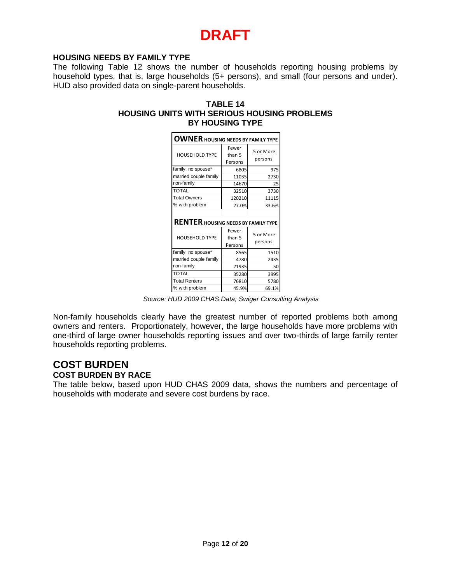#### **HOUSING NEEDS BY FAMILY TYPE**

The following Table 12 shows the number of households reporting housing problems by household types, that is, large households (5+ persons), and small (four persons and under). HUD also provided data on single-parent households.

#### **TABLE 14 HOUSING UNITS WITH SERIOUS HOUSING PROBLEMS BY HOUSING TYPE**

| <b>OWNER HOUSING NEEDS BY FAMILY TYPE</b>  |                            |                      |  |  |  |  |
|--------------------------------------------|----------------------------|----------------------|--|--|--|--|
| <b>HOUSEHOLD TYPE</b>                      | Fewer<br>than 5<br>Persons | 5 or More<br>persons |  |  |  |  |
| family, no spouse*                         | 6805                       | 975                  |  |  |  |  |
| married couple family                      | 11035                      | 2730                 |  |  |  |  |
| non-family                                 | 14670                      | 25                   |  |  |  |  |
| <b>TOTAL</b>                               | 32510                      | 3730                 |  |  |  |  |
| <b>Total Owners</b>                        | 120210                     | 11115                |  |  |  |  |
| % with problem                             | 27.0%                      | 33.6%                |  |  |  |  |
| <b>RENTER HOUSING NEEDS BY FAMILY TYPE</b> |                            |                      |  |  |  |  |
| <b>HOUSEHOLD TYPE</b>                      | Fewer<br>than 5<br>Persons | 5 or More<br>persons |  |  |  |  |
| family, no spouse*                         | 8565                       | 1510                 |  |  |  |  |
| married couple family                      | 4780                       | 2435                 |  |  |  |  |
| non-family                                 | 21935                      | 50                   |  |  |  |  |
| <b>TOTAL</b>                               | 35280                      | 3995                 |  |  |  |  |
| <b>Total Renters</b>                       | 76810                      | 5780                 |  |  |  |  |
| % with problem                             | 45.9%                      | 69.1%                |  |  |  |  |

 *Source: HUD 2009 CHAS Data; Swiger Consulting Analysis*

Non-family households clearly have the greatest number of reported problems both among owners and renters. Proportionately, however, the large households have more problems with one-third of large owner households reporting issues and over two-thirds of large family renter households reporting problems.

### **COST BURDEN COST BURDEN BY RACE**

The table below, based upon HUD CHAS 2009 data, shows the numbers and percentage of households with moderate and severe cost burdens by race.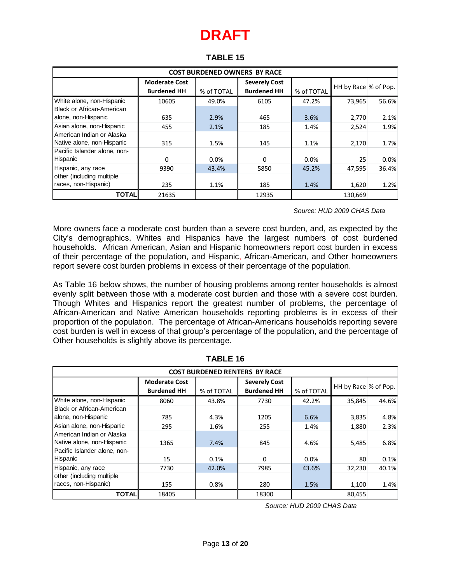| <b>COST BURDENED OWNERS BY RACE</b> |                      |            |                      |            |                       |       |  |  |
|-------------------------------------|----------------------|------------|----------------------|------------|-----------------------|-------|--|--|
|                                     | <b>Moderate Cost</b> |            | <b>Severely Cost</b> |            | HH by Race \% of Pop. |       |  |  |
|                                     | <b>Burdened HH</b>   | % of TOTAL | <b>Burdened HH</b>   | % of TOTAL |                       |       |  |  |
| White alone, non-Hispanic           | 10605                | 49.0%      | 6105                 | 47.2%      | 73,965                | 56.6% |  |  |
| <b>Black or African-American</b>    |                      |            |                      |            |                       |       |  |  |
| alone, non-Hispanic                 | 635                  | 2.9%       | 465                  | 3.6%       | 2,770                 | 2.1%  |  |  |
| Asian alone, non-Hispanic           | 455                  | 2.1%       | 185                  | 1.4%       | 2,524                 | 1.9%  |  |  |
| American Indian or Alaska           |                      |            |                      |            |                       |       |  |  |
| Native alone, non-Hispanic          | 315                  | 1.5%       | 145                  | 1.1%       | 2,170                 | 1.7%  |  |  |
| Pacific Islander alone, non-        |                      |            |                      |            |                       |       |  |  |
| Hispanic                            | $\Omega$             | 0.0%       | $\Omega$             | 0.0%       | 25                    | 0.0%  |  |  |
| Hispanic, any race                  | 9390                 | 43.4%      | 5850                 | 45.2%      | 47,595                | 36.4% |  |  |
| other (including multiple           |                      |            |                      |            |                       |       |  |  |
| races, non-Hispanic)                | 235                  | 1.1%       | 185                  | 1.4%       | 1,620                 | 1.2%  |  |  |
| <b>TOTAL</b>                        | 21635                |            | 12935                |            | 130.669               |       |  |  |

### **TABLE 15**

 *Source: HUD 2009 CHAS Data*

More owners face a moderate cost burden than a severe cost burden, and, as expected by the City's demographics, Whites and Hispanics have the largest numbers of cost burdened households. African American, Asian and Hispanic homeowners report cost burden in excess of their percentage of the population, and Hispanic, African-American, and Other homeowners report severe cost burden problems in excess of their percentage of the population.

As Table 16 below shows, the number of housing problems among renter households is almost evenly split between those with a moderate cost burden and those with a severe cost burden. Though Whites and Hispanics report the greatest number of problems, the percentage of African-American and Native American households reporting problems is in excess of their proportion of the population. The percentage of African-Americans households reporting severe cost burden is well in excess of that group's percentage of the population, and the percentage of Other households is slightly above its percentage.

| <b>COST BURDENED RENTERS BY RACE</b>                    |                                            |            |                                            |            |                         |       |  |  |
|---------------------------------------------------------|--------------------------------------------|------------|--------------------------------------------|------------|-------------------------|-------|--|--|
|                                                         | <b>Moderate Cost</b><br><b>Burdened HH</b> | % of TOTAL | <b>Severely Cost</b><br><b>Burdened HH</b> | % of TOTAL | HH by Race $\%$ of Pop. |       |  |  |
| White alone, non-Hispanic                               | 8060                                       | 43.8%      | 7730                                       | 42.2%      | 35,845                  | 44.6% |  |  |
| Black or African-American<br>alone, non-Hispanic        | 785                                        | 4.3%       | 1205                                       | 6.6%       | 3,835                   | 4.8%  |  |  |
| Asian alone, non-Hispanic                               | 295                                        | 1.6%       | 255                                        | 1.4%       | 1,880                   | 2.3%  |  |  |
| American Indian or Alaska<br>Native alone, non-Hispanic | 1365                                       | 7.4%       | 845                                        | 4.6%       | 5,485                   | 6.8%  |  |  |
| Pacific Islander alone, non-<br>Hispanic                | 15                                         | 0.1%       | $\Omega$                                   | 0.0%       | 80                      | 0.1%  |  |  |
| Hispanic, any race                                      | 7730                                       | 42.0%      | 7985                                       | 43.6%      | 32,230                  | 40.1% |  |  |
| other (including multiple<br>races, non-Hispanic)       | 155                                        | 0.8%       | 280                                        | 1.5%       | 1,100                   | 1.4%  |  |  |
| TOTAL                                                   | 18405                                      |            | 18300                                      |            | 80,455                  |       |  |  |

**TABLE 16**

*Source: HUD 2009 CHAS Data*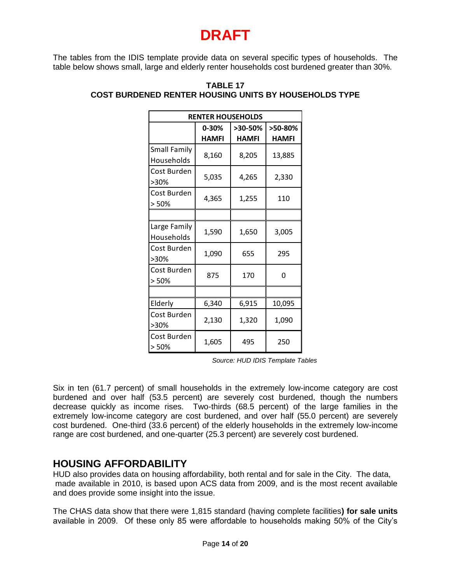The tables from the IDIS template provide data on several specific types of households. The table below shows small, large and elderly renter households cost burdened greater than 30%.

| <b>RENTER HOUSEHOLDS</b>          |              |              |              |  |  |  |  |
|-----------------------------------|--------------|--------------|--------------|--|--|--|--|
|                                   | 0-30%        | >30-50%      | >50-80%      |  |  |  |  |
|                                   | <b>HAMFI</b> | <b>HAMFI</b> | <b>HAMFI</b> |  |  |  |  |
| <b>Small Family</b><br>Households | 8,160        | 8,205        | 13,885       |  |  |  |  |
| Cost Burden<br>>30%               | 5,035        | 4,265        | 2,330        |  |  |  |  |
| Cost Burden<br>> 50%              | 4,365        | 1,255        | 110          |  |  |  |  |
|                                   |              |              |              |  |  |  |  |
| Large Family<br>Households        | 1,590        | 1,650        | 3,005        |  |  |  |  |
| Cost Burden<br>>30%               | 1,090        | 655          | 295          |  |  |  |  |
| Cost Burden<br>> 50%              | 875          | 170          | 0            |  |  |  |  |
|                                   |              |              |              |  |  |  |  |
| Elderly                           | 6,340        | 6,915        | 10,095       |  |  |  |  |
| Cost Burden<br>>30%               | 2,130        | 1,320        | 1,090        |  |  |  |  |
| Cost Burden<br>> 50%              | 1,605        | 495          | 250          |  |  |  |  |

#### **TABLE 17 COST BURDENED RENTER HOUSING UNITS BY HOUSEHOLDS TYPE**

*Source: HUD IDIS Template Tables*

Six in ten (61.7 percent) of small households in the extremely low-income category are cost burdened and over half (53.5 percent) are severely cost burdened, though the numbers decrease quickly as income rises. Two-thirds (68.5 percent) of the large families in the extremely low-income category are cost burdened, and over half (55.0 percent) are severely cost burdened. One-third (33.6 percent) of the elderly households in the extremely low-income range are cost burdened, and one-quarter (25.3 percent) are severely cost burdened.

## **HOUSING AFFORDABILITY**

HUD also provides data on housing affordability, both rental and for sale in the City. The data, made available in 2010, is based upon ACS data from 2009, and is the most recent available and does provide some insight into the issue.

The CHAS data show that there were 1,815 standard (having complete facilities**) for sale units** available in 2009. Of these only 85 were affordable to households making 50% of the City's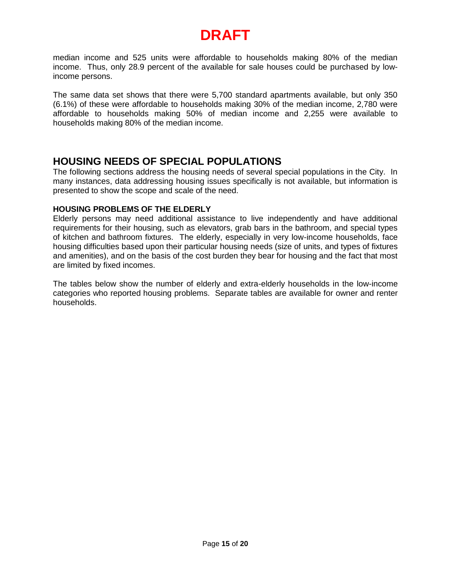median income and 525 units were affordable to households making 80% of the median income. Thus, only 28.9 percent of the available for sale houses could be purchased by lowincome persons.

The same data set shows that there were 5,700 standard apartments available, but only 350 (6.1%) of these were affordable to households making 30% of the median income, 2,780 were affordable to households making 50% of median income and 2,255 were available to households making 80% of the median income.

## **HOUSING NEEDS OF SPECIAL POPULATIONS**

The following sections address the housing needs of several special populations in the City. In many instances, data addressing housing issues specifically is not available, but information is presented to show the scope and scale of the need.

### **HOUSING PROBLEMS OF THE ELDERLY**

Elderly persons may need additional assistance to live independently and have additional requirements for their housing, such as elevators, grab bars in the bathroom, and special types of kitchen and bathroom fixtures. The elderly, especially in very low-income households, face housing difficulties based upon their particular housing needs (size of units, and types of fixtures and amenities), and on the basis of the cost burden they bear for housing and the fact that most are limited by fixed incomes.

The tables below show the number of elderly and extra-elderly households in the low-income categories who reported housing problems. Separate tables are available for owner and renter households.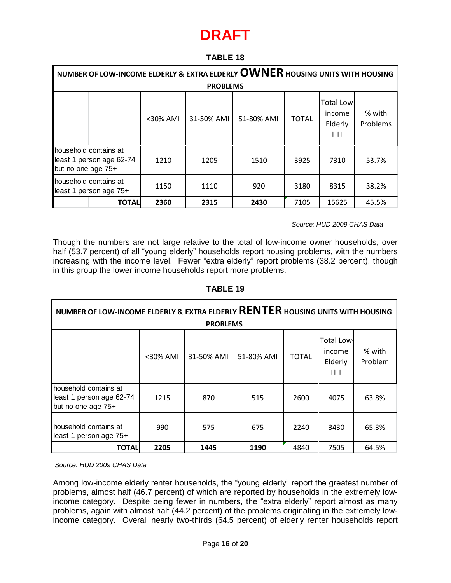### **TABLE 18**

|                    | NUMBER OF LOW-INCOME ELDERLY & EXTRA ELDERLY OWNER HOUSING UNITS WITH HOUSING |             |                 |            |              |                                               |                    |  |  |
|--------------------|-------------------------------------------------------------------------------|-------------|-----------------|------------|--------------|-----------------------------------------------|--------------------|--|--|
|                    |                                                                               |             | <b>PROBLEMS</b> |            |              |                                               |                    |  |  |
|                    |                                                                               | $<$ 30% AMI | 31-50% AMI      | 51-80% AMI | <b>TOTAL</b> | <b>Total Low-</b><br>income<br>Elderly<br>HH. | % with<br>Problems |  |  |
| but no one age 75+ | household contains at<br>least 1 person age 62-74                             | 1210        | 1205            | 1510       | 3925         | 7310                                          | 53.7%              |  |  |
|                    | household contains at<br>least 1 person age 75+                               | 1150        | 1110            | 920        | 3180         | 8315                                          | 38.2%              |  |  |
|                    | <b>TOTAL</b>                                                                  | 2360        | 2315            | 2430       | 7105         | 15625                                         | 45.5%              |  |  |

*Source: HUD 2009 CHAS Data*

Though the numbers are not large relative to the total of low-income owner households, over half (53.7 percent) of all "young elderly" households report housing problems, with the numbers increasing with the income level. Fewer "extra elderly" report problems (38.2 percent), though in this group the lower income households report more problems.

### **TABLE 19**

| NUMBER OF LOW-INCOME ELDERLY & EXTRA ELDERLY RENTER HOUSING UNITS WITH HOUSING<br><b>PROBLEMS</b> |                                                   |             |            |            |              |                                        |                   |  |
|---------------------------------------------------------------------------------------------------|---------------------------------------------------|-------------|------------|------------|--------------|----------------------------------------|-------------------|--|
|                                                                                                   |                                                   | $<$ 30% AMI | 31-50% AMI | 51-80% AMI | <b>TOTAL</b> | Total Low-<br>income<br>Elderly<br>HH. | % with<br>Problem |  |
| but no one age 75+                                                                                | household contains at<br>least 1 person age 62-74 | 1215        | 870        | 515        | 2600         | 4075                                   | 63.8%             |  |
|                                                                                                   | household contains at<br>least 1 person age 75+   | 990         | 575        | 675        | 2240         | 3430                                   | 65.3%             |  |
|                                                                                                   | <b>TOTAL</b>                                      | 2205        | 1445       | 1190       | 4840         | 7505                                   | 64.5%             |  |

*Source: HUD 2009 CHAS Data*

Among low-income elderly renter households, the "young elderly" report the greatest number of problems, almost half (46.7 percent) of which are reported by households in the extremely lowincome category. Despite being fewer in numbers, the "extra elderly" report almost as many problems, again with almost half (44.2 percent) of the problems originating in the extremely lowincome category. Overall nearly two-thirds (64.5 percent) of elderly renter households report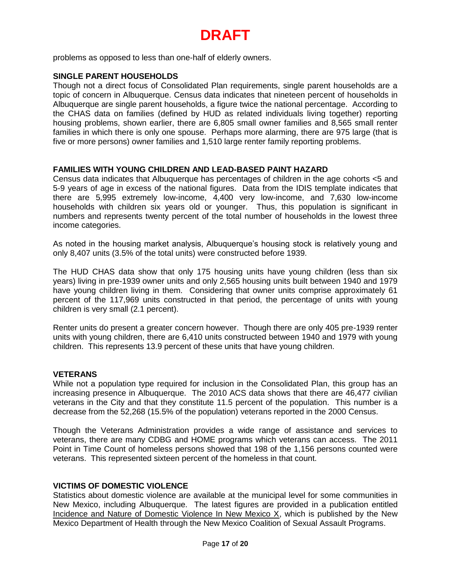problems as opposed to less than one-half of elderly owners.

### **SINGLE PARENT HOUSEHOLDS**

Though not a direct focus of Consolidated Plan requirements, single parent households are a topic of concern in Albuquerque. Census data indicates that nineteen percent of households in Albuquerque are single parent households, a figure twice the national percentage. According to the CHAS data on families (defined by HUD as related individuals living together) reporting housing problems, shown earlier, there are 6,805 small owner families and 8,565 small renter families in which there is only one spouse. Perhaps more alarming, there are 975 large (that is five or more persons) owner families and 1,510 large renter family reporting problems.

#### **FAMILIES WITH YOUNG CHILDREN AND LEAD-BASED PAINT HAZARD**

Census data indicates that Albuquerque has percentages of children in the age cohorts <5 and 5-9 years of age in excess of the national figures. Data from the IDIS template indicates that there are 5,995 extremely low-income, 4,400 very low-income, and 7,630 low-income households with children six years old or younger. Thus, this population is significant in numbers and represents twenty percent of the total number of households in the lowest three income categories.

As noted in the housing market analysis, Albuquerque's housing stock is relatively young and only 8,407 units (3.5% of the total units) were constructed before 1939.

The HUD CHAS data show that only 175 housing units have young children (less than six years) living in pre-1939 owner units and only 2,565 housing units built between 1940 and 1979 have young children living in them. Considering that owner units comprise approximately 61 percent of the 117,969 units constructed in that period, the percentage of units with young children is very small (2.1 percent).

Renter units do present a greater concern however. Though there are only 405 pre-1939 renter units with young children, there are 6,410 units constructed between 1940 and 1979 with young children. This represents 13.9 percent of these units that have young children.

#### **VETERANS**

While not a population type required for inclusion in the Consolidated Plan, this group has an increasing presence in Albuquerque. The 2010 ACS data shows that there are 46,477 civilian veterans in the City and that they constitute 11.5 percent of the population. This number is a decrease from the 52,268 (15.5% of the population) veterans reported in the 2000 Census.

Though the Veterans Administration provides a wide range of assistance and services to veterans, there are many CDBG and HOME programs which veterans can access. The 2011 Point in Time Count of homeless persons showed that 198 of the 1,156 persons counted were veterans. This represented sixteen percent of the homeless in that count.

#### **VICTIMS OF DOMESTIC VIOLENCE**

Statistics about domestic violence are available at the municipal level for some communities in New Mexico, including Albuquerque. The latest figures are provided in a publication entitled Incidence and Nature of Domestic Violence In New Mexico  $X$ , which is published by the New Mexico Department of Health through the New Mexico Coalition of Sexual Assault Programs.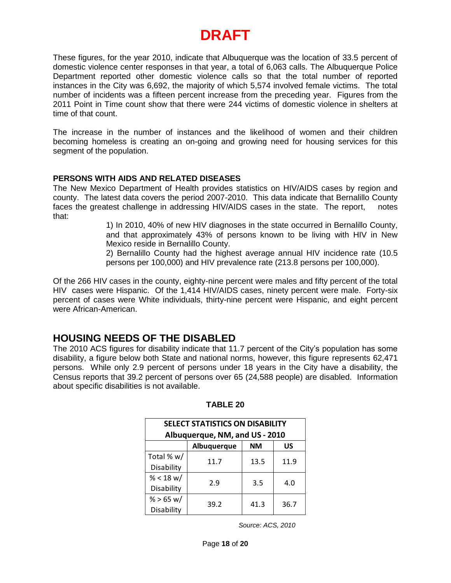These figures, for the year 2010, indicate that Albuquerque was the location of 33.5 percent of domestic violence center responses in that year, a total of 6,063 calls. The Albuquerque Police Department reported other domestic violence calls so that the total number of reported instances in the City was 6,692, the majority of which 5,574 involved female victims. The total number of incidents was a fifteen percent increase from the preceding year. Figures from the 2011 Point in Time count show that there were 244 victims of domestic violence in shelters at time of that count.

The increase in the number of instances and the likelihood of women and their children becoming homeless is creating an on-going and growing need for housing services for this segment of the population.

### **PERSONS WITH AIDS AND RELATED DISEASES**

The New Mexico Department of Health provides statistics on HIV/AIDS cases by region and county. The latest data covers the period 2007-2010. This data indicate that Bernalillo County faces the greatest challenge in addressing HIV/AIDS cases in the state. The report, notes that:

1) In 2010, 40% of new HIV diagnoses in the state occurred in Bernalillo County, and that approximately 43% of persons known to be living with HIV in New Mexico reside in Bernalillo County.

2) Bernalillo County had the highest average annual HIV incidence rate (10.5 persons per 100,000) and HIV prevalence rate (213.8 persons per 100,000).

Of the 266 HIV cases in the county, eighty-nine percent were males and fifty percent of the total HIV cases were Hispanic. Of the 1,414 HIV/AIDS cases, ninety percent were male. Forty-six percent of cases were White individuals, thirty-nine percent were Hispanic, and eight percent were African-American.

## **HOUSING NEEDS OF THE DISABLED**

The 2010 ACS figures for disability indicate that 11.7 percent of the City's population has some disability, a figure below both State and national norms, however, this figure represents 62,471 persons. While only 2.9 percent of persons under 18 years in the City have a disability, the Census reports that 39.2 percent of persons over 65 (24,588 people) are disabled. Information about specific disabilities is not available.

| SELECT STATISTICS ON DISABILITY |                                |      |      |  |  |  |  |  |
|---------------------------------|--------------------------------|------|------|--|--|--|--|--|
| Albuquerque, NM, and US - 2010  |                                |      |      |  |  |  |  |  |
|                                 | <b>NM</b><br>Albuquerque<br>US |      |      |  |  |  |  |  |
| Total % w/                      | 11.7                           | 13.5 | 11.9 |  |  |  |  |  |
| Disability                      |                                |      |      |  |  |  |  |  |
| % < 18 w/                       | 2.9                            | 3.5  | 4.0  |  |  |  |  |  |
| Disability                      |                                |      |      |  |  |  |  |  |
| % > 65 w/                       | 39.2                           | 41.3 | 36.7 |  |  |  |  |  |
| Disability                      |                                |      |      |  |  |  |  |  |
| Source: ACS, 2010               |                                |      |      |  |  |  |  |  |
| Page 18 of 20                   |                                |      |      |  |  |  |  |  |

### **TABLE 20**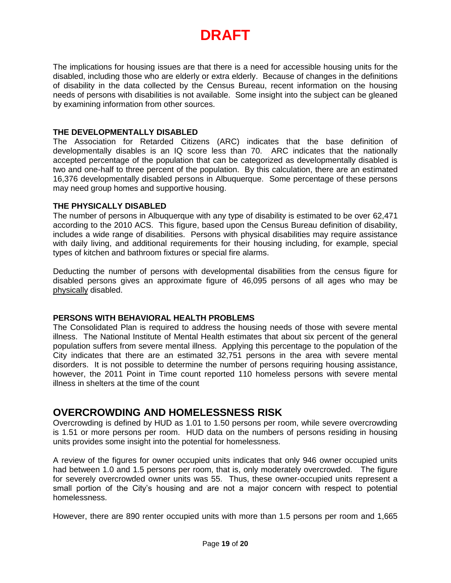The implications for housing issues are that there is a need for accessible housing units for the disabled, including those who are elderly or extra elderly. Because of changes in the definitions of disability in the data collected by the Census Bureau, recent information on the housing needs of persons with disabilities is not available. Some insight into the subject can be gleaned by examining information from other sources.

#### **THE DEVELOPMENTALLY DISABLED**

The Association for Retarded Citizens (ARC) indicates that the base definition of developmentally disables is an IQ score less than 70. ARC indicates that the nationally accepted percentage of the population that can be categorized as developmentally disabled is two and one-half to three percent of the population. By this calculation, there are an estimated 16,376 developmentally disabled persons in Albuquerque. Some percentage of these persons may need group homes and supportive housing.

#### **THE PHYSICALLY DISABLED**

The number of persons in Albuquerque with any type of disability is estimated to be over 62,471 according to the 2010 ACS. This figure, based upon the Census Bureau definition of disability, includes a wide range of disabilities. Persons with physical disabilities may require assistance with daily living, and additional requirements for their housing including, for example, special types of kitchen and bathroom fixtures or special fire alarms.

Deducting the number of persons with developmental disabilities from the census figure for disabled persons gives an approximate figure of 46,095 persons of all ages who may be physically disabled.

### **PERSONS WITH BEHAVIORAL HEALTH PROBLEMS**

The Consolidated Plan is required to address the housing needs of those with severe mental illness. The National Institute of Mental Health estimates that about six percent of the general population suffers from severe mental illness. Applying this percentage to the population of the City indicates that there are an estimated 32,751 persons in the area with severe mental disorders. It is not possible to determine the number of persons requiring housing assistance, however, the 2011 Point in Time count reported 110 homeless persons with severe mental illness in shelters at the time of the count

### **OVERCROWDING AND HOMELESSNESS RISK**

Overcrowding is defined by HUD as 1.01 to 1.50 persons per room, while severe overcrowding is 1.51 or more persons per room. HUD data on the numbers of persons residing in housing units provides some insight into the potential for homelessness.

A review of the figures for owner occupied units indicates that only 946 owner occupied units had between 1.0 and 1.5 persons per room, that is, only moderately overcrowded. The figure for severely overcrowded owner units was 55. Thus, these owner-occupied units represent a small portion of the City's housing and are not a major concern with respect to potential homelessness.

However, there are 890 renter occupied units with more than 1.5 persons per room and 1,665